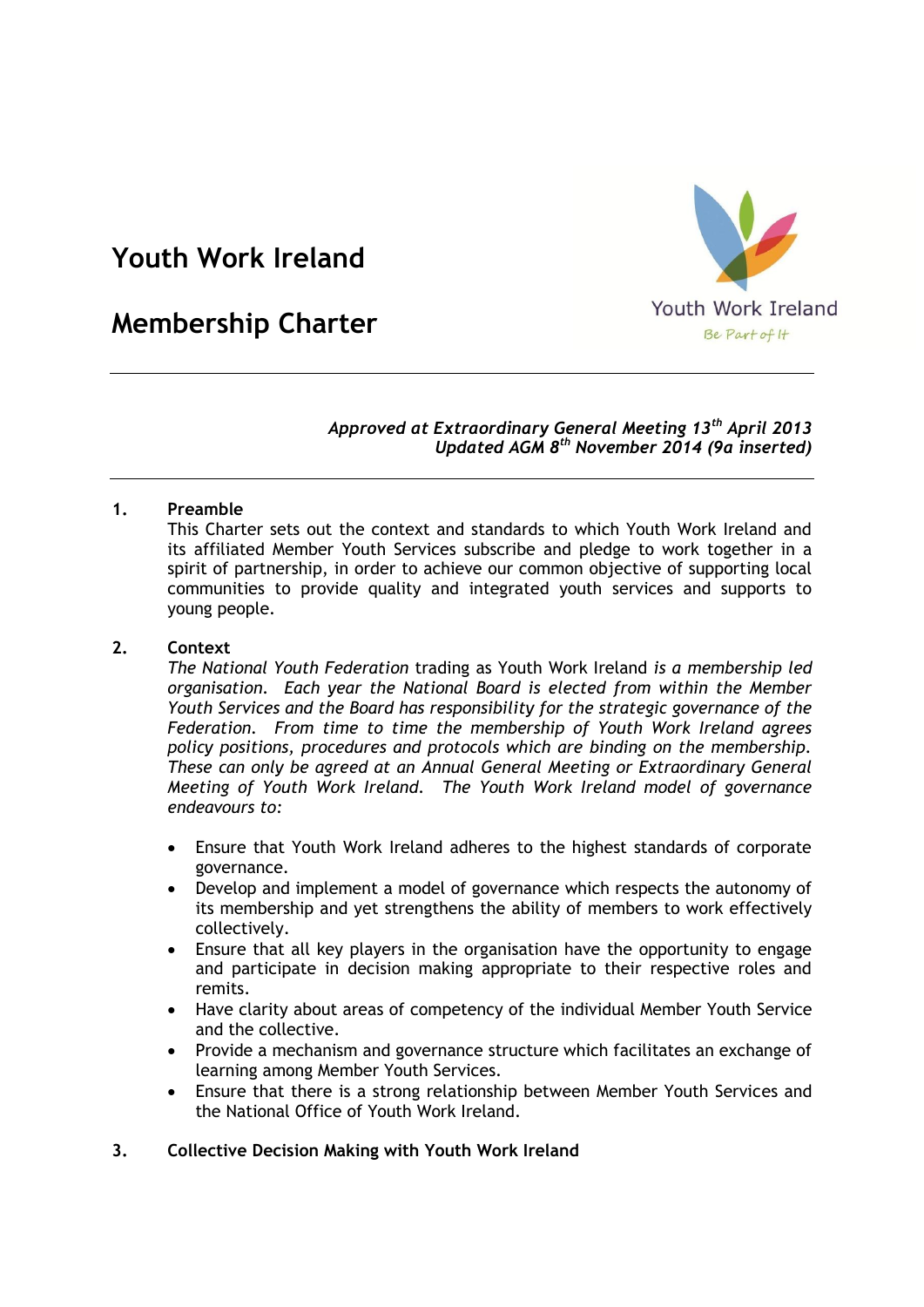# **Youth Work Ireland**



# **Membership Charter**

# *Approved at Extraordinary General Meeting 13th April 2013 Updated AGM 8th November 2014 (9a inserted)*

# **1. Preamble**

This Charter sets out the context and standards to which Youth Work Ireland and its affiliated Member Youth Services subscribe and pledge to work together in a spirit of partnership, in order to achieve our common objective of supporting local communities to provide quality and integrated youth services and supports to young people.

## **2. Context**

*The National Youth Federation* trading as Youth Work Ireland *is a membership led organisation. Each year the National Board is elected from within the Member Youth Services and the Board has responsibility for the strategic governance of the Federation. From time to time the membership of Youth Work Ireland agrees policy positions, procedures and protocols which are binding on the membership. These can only be agreed at an Annual General Meeting or Extraordinary General Meeting of Youth Work Ireland. The Youth Work Ireland model of governance endeavours to:*

- Ensure that Youth Work Ireland adheres to the highest standards of corporate governance.
- Develop and implement a model of governance which respects the autonomy of its membership and yet strengthens the ability of members to work effectively collectively.
- Ensure that all key players in the organisation have the opportunity to engage and participate in decision making appropriate to their respective roles and remits.
- Have clarity about areas of competency of the individual Member Youth Service and the collective.
- Provide a mechanism and governance structure which facilitates an exchange of learning among Member Youth Services.
- Ensure that there is a strong relationship between Member Youth Services and the National Office of Youth Work Ireland.

## **3. Collective Decision Making with Youth Work Ireland**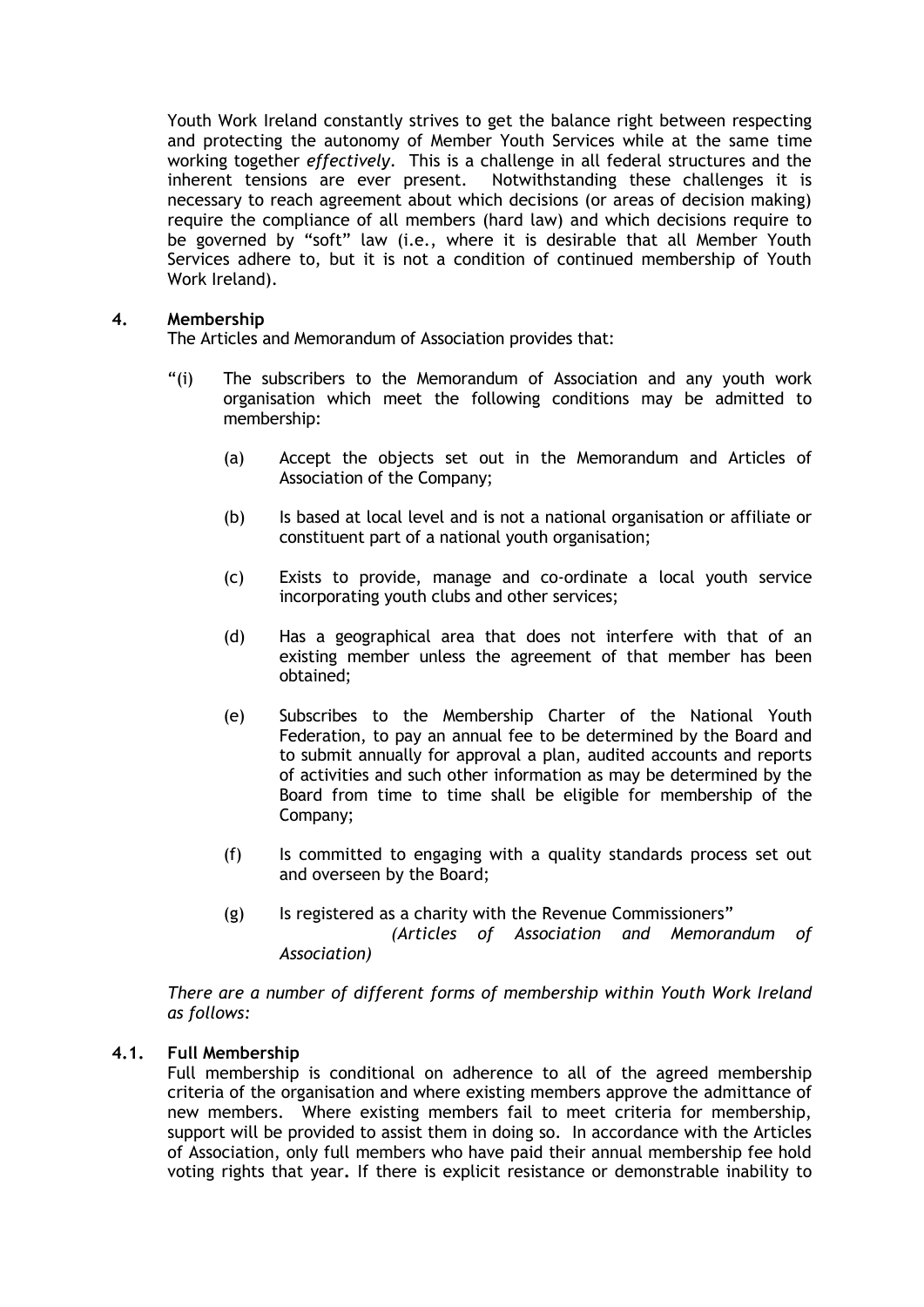Youth Work Ireland constantly strives to get the balance right between respecting and protecting the autonomy of Member Youth Services while at the same time working together *effectively*. This is a challenge in all federal structures and the inherent tensions are ever present. Notwithstanding these challenges it is necessary to reach agreement about which decisions (or areas of decision making) require the compliance of all members (hard law) and which decisions require to be governed by "soft" law (i.e., where it is desirable that all Member Youth Services adhere to, but it is not a condition of continued membership of Youth Work Ireland).

#### **4. Membership**

The Articles and Memorandum of Association provides that:

- "(i) The subscribers to the Memorandum of Association and any youth work organisation which meet the following conditions may be admitted to membership:
	- (a) Accept the objects set out in the Memorandum and Articles of Association of the Company;
	- (b) Is based at local level and is not a national organisation or affiliate or constituent part of a national youth organisation;
	- (c) Exists to provide, manage and co-ordinate a local youth service incorporating youth clubs and other services;
	- (d) Has a geographical area that does not interfere with that of an existing member unless the agreement of that member has been obtained;
	- (e) Subscribes to the Membership Charter of the National Youth Federation, to pay an annual fee to be determined by the Board and to submit annually for approval a plan, audited accounts and reports of activities and such other information as may be determined by the Board from time to time shall be eligible for membership of the Company;
	- (f) Is committed to engaging with a quality standards process set out and overseen by the Board;
	- (g) Is registered as a charity with the Revenue Commissioners" *(Articles of Association and Memorandum of Association)*

*There are a number of different forms of membership within Youth Work Ireland as follows:*

## **4.1. Full Membership**

Full membership is conditional on adherence to all of the agreed membership criteria of the organisation and where existing members approve the admittance of new members. Where existing members fail to meet criteria for membership, support will be provided to assist them in doing so. In accordance with the Articles of Association, only full members who have paid their annual membership fee hold voting rights that year**.** If there is explicit resistance or demonstrable inability to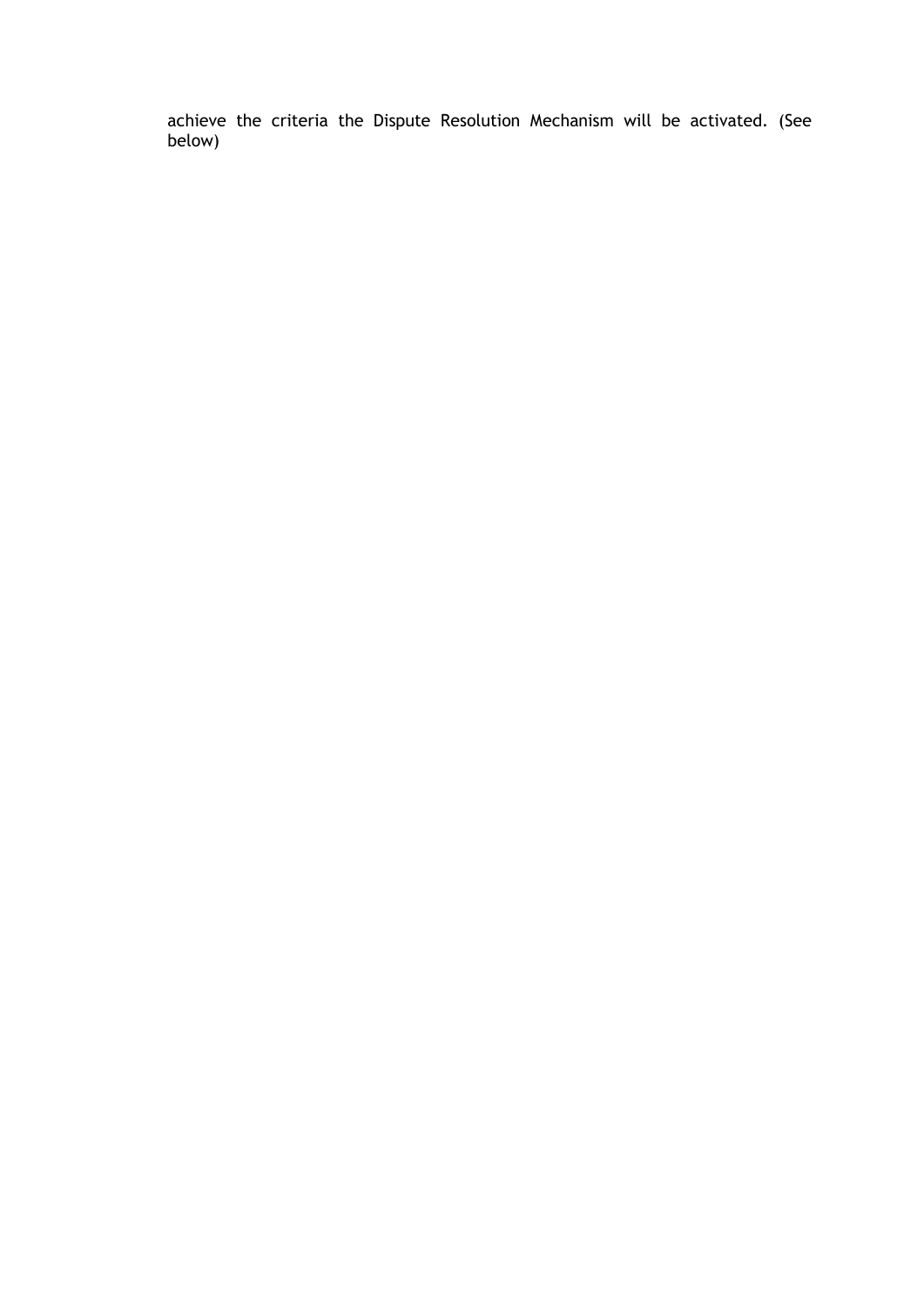achieve the criteria the Dispute Resolution Mechanism will be activated. (See below)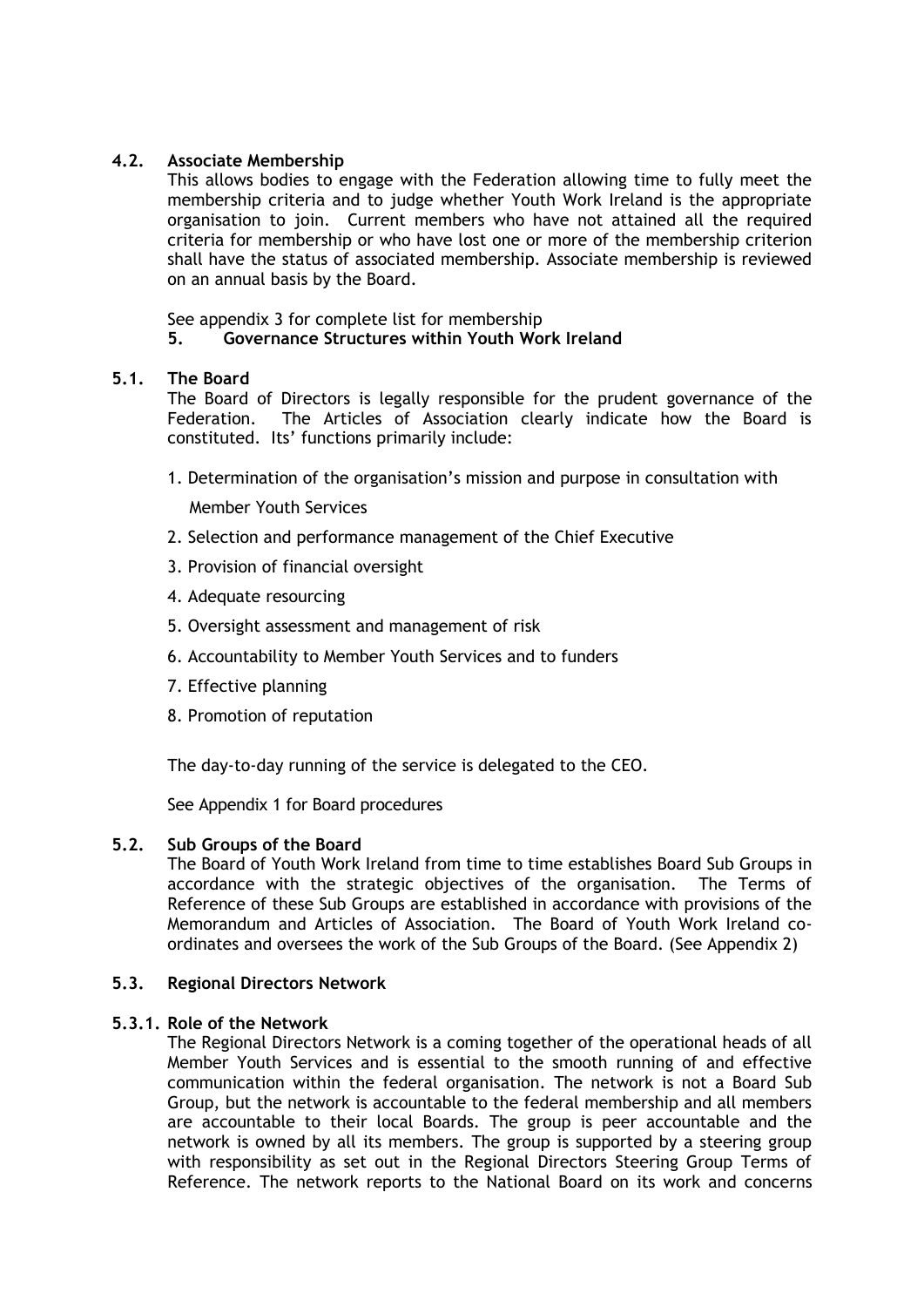# **4.2. Associate Membership**

This allows bodies to engage with the Federation allowing time to fully meet the membership criteria and to judge whether Youth Work Ireland is the appropriate organisation to join. Current members who have not attained all the required criteria for membership or who have lost one or more of the membership criterion shall have the status of associated membership. Associate membership is reviewed on an annual basis by the Board.

See appendix 3 for complete list for membership

## **5. Governance Structures within Youth Work Ireland**

## **5.1. The Board**

The Board of Directors is legally responsible for the prudent governance of the Federation. The Articles of Association clearly indicate how the Board is constituted. Its' functions primarily include:

1. Determination of the organisation's mission and purpose in consultation with

Member Youth Services

- 2. Selection and performance management of the Chief Executive
- 3. Provision of financial oversight
- 4. Adequate resourcing
- 5. Oversight assessment and management of risk
- 6. Accountability to Member Youth Services and to funders
- 7. Effective planning
- 8. Promotion of reputation

The day-to-day running of the service is delegated to the CEO.

See Appendix 1 for Board procedures

## **5.2. Sub Groups of the Board**

The Board of Youth Work Ireland from time to time establishes Board Sub Groups in accordance with the strategic objectives of the organisation. The Terms of Reference of these Sub Groups are established in accordance with provisions of the Memorandum and Articles of Association. The Board of Youth Work Ireland coordinates and oversees the work of the Sub Groups of the Board. (See Appendix 2)

## **5.3. Regional Directors Network**

## **5.3.1. Role of the Network**

The Regional Directors Network is a coming together of the operational heads of all Member Youth Services and is essential to the smooth running of and effective communication within the federal organisation. The network is not a Board Sub Group, but the network is accountable to the federal membership and all members are accountable to their local Boards. The group is peer accountable and the network is owned by all its members. The group is supported by a steering group with responsibility as set out in the Regional Directors Steering Group Terms of Reference. The network reports to the National Board on its work and concerns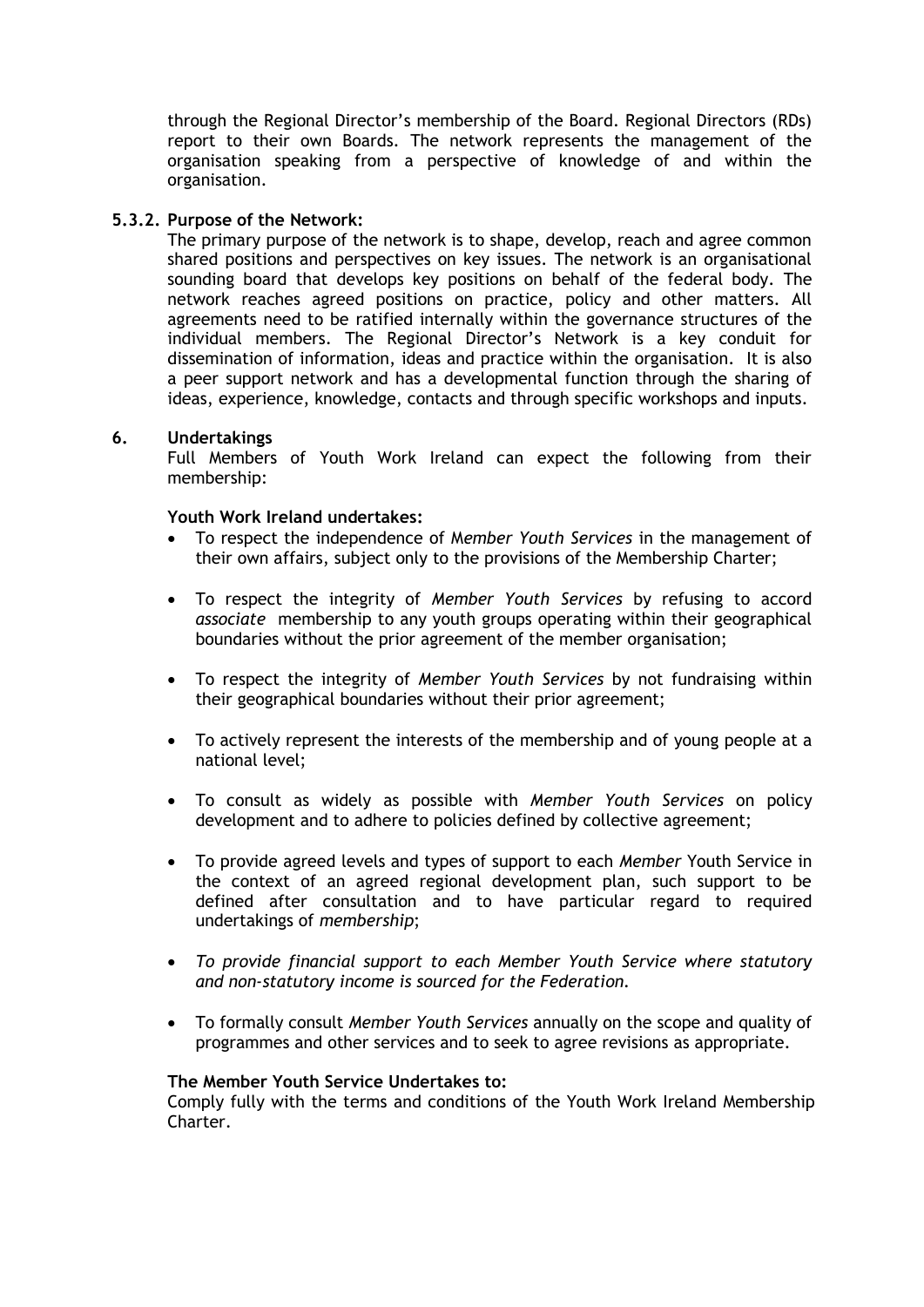through the Regional Director's membership of the Board. Regional Directors (RDs) report to their own Boards. The network represents the management of the organisation speaking from a perspective of knowledge of and within the organisation.

## **5.3.2. Purpose of the Network:**

The primary purpose of the network is to shape, develop, reach and agree common shared positions and perspectives on key issues. The network is an organisational sounding board that develops key positions on behalf of the federal body. The network reaches agreed positions on practice, policy and other matters. All agreements need to be ratified internally within the governance structures of the individual members. The Regional Director's Network is a key conduit for dissemination of information, ideas and practice within the organisation. It is also a peer support network and has a developmental function through the sharing of ideas, experience, knowledge, contacts and through specific workshops and inputs.

#### **6. Undertakings**

Full Members of Youth Work Ireland can expect the following from their membership:

#### **Youth Work Ireland undertakes:**

- To respect the independence of M*ember Youth Services* in the management of their own affairs, subject only to the provisions of the Membership Charter;
- To respect the integrity of *Member Youth Services* by refusing to accord *associate* membership to any youth groups operating within their geographical boundaries without the prior agreement of the member organisation;
- To respect the integrity of *Member Youth Services* by not fundraising within their geographical boundaries without their prior agreement;
- To actively represent the interests of the membership and of young people at a national level;
- To consult as widely as possible with *Member Youth Services* on policy development and to adhere to policies defined by collective agreement;
- To provide agreed levels and types of support to each *Member* Youth Service in the context of an agreed regional development plan, such support to be defined after consultation and to have particular regard to required undertakings of *membership*;
- *To provide financial support to each Member Youth Service where statutory and non-statutory income is sourced for the Federation.*
- To formally consult *Member Youth Services* annually on the scope and quality of programmes and other services and to seek to agree revisions as appropriate.

#### **The Member Youth Service Undertakes to:**

Comply fully with the terms and conditions of the Youth Work Ireland Membership Charter.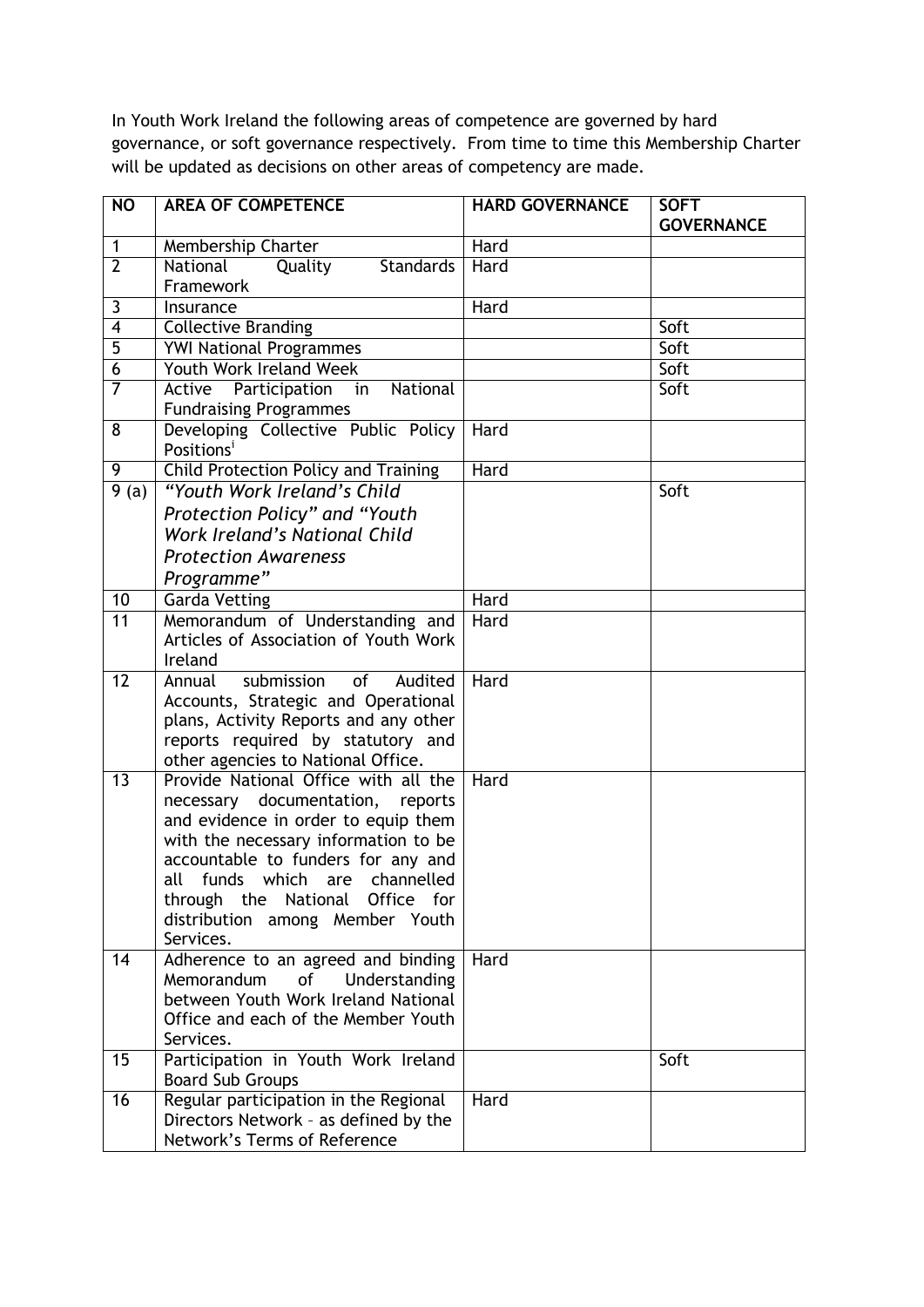In Youth Work Ireland the following areas of competence are governed by hard governance, or soft governance respectively. From time to time this Membership Charter will be updated as decisions on other areas of competency are made.

| <b>NO</b>          | <b>AREA OF COMPETENCE</b>                                                   | <b>HARD GOVERNANCE</b> | <b>SOFT</b>       |
|--------------------|-----------------------------------------------------------------------------|------------------------|-------------------|
|                    |                                                                             |                        | <b>GOVERNANCE</b> |
| 1                  | Membership Charter                                                          | Hard                   |                   |
| $\overline{2}$     | National<br>Quality<br><b>Standards</b>                                     | Hard                   |                   |
|                    | Framework                                                                   |                        |                   |
| $\mathbf{3}$       | Insurance                                                                   | Hard                   |                   |
| $\overline{4}$     | <b>Collective Branding</b>                                                  |                        | Soft              |
| $\overline{5}$     | <b>YWI National Programmes</b>                                              |                        | Soft              |
| $\overline{6}$     | Youth Work Ireland Week                                                     |                        | Soft              |
| $\overline{7}$     | Active Participation<br>National<br>in                                      |                        | Soft              |
|                    | <b>Fundraising Programmes</b>                                               |                        |                   |
| 8                  | Developing Collective Public Policy                                         | Hard                   |                   |
|                    | Positions <sup>i</sup>                                                      |                        |                   |
| 9                  | Child Protection Policy and Training                                        | Hard                   |                   |
| $\overline{9}$ (a) | "Youth Work Ireland's Child                                                 |                        | Soft              |
|                    | Protection Policy" and "Youth                                               |                        |                   |
|                    | <b>Work Ireland's National Child</b>                                        |                        |                   |
|                    | <b>Protection Awareness</b>                                                 |                        |                   |
|                    | Programme"                                                                  |                        |                   |
| 10                 | <b>Garda Vetting</b>                                                        | Hard                   |                   |
| 11                 | Memorandum of Understanding and                                             | Hard                   |                   |
|                    | Articles of Association of Youth Work                                       |                        |                   |
|                    | Ireland                                                                     |                        |                   |
| $\overline{12}$    | submission<br>of<br>Annual<br>Audited                                       | Hard                   |                   |
|                    | Accounts, Strategic and Operational                                         |                        |                   |
|                    | plans, Activity Reports and any other                                       |                        |                   |
|                    | reports required by statutory and                                           |                        |                   |
|                    | other agencies to National Office.                                          |                        |                   |
| 13                 | Provide National Office with all the                                        | Hard                   |                   |
|                    | necessary documentation,<br>reports                                         |                        |                   |
|                    | and evidence in order to equip them<br>with the necessary information to be |                        |                   |
|                    | accountable to funders for any and                                          |                        |                   |
|                    | funds which are channelled<br>all                                           |                        |                   |
|                    | through the National Office for                                             |                        |                   |
|                    | distribution among Member Youth                                             |                        |                   |
|                    | Services.                                                                   |                        |                   |
| 14                 | Adherence to an agreed and binding                                          | Hard                   |                   |
|                    | Memorandum<br>Understanding<br>of                                           |                        |                   |
|                    | between Youth Work Ireland National                                         |                        |                   |
|                    | Office and each of the Member Youth                                         |                        |                   |
|                    | Services.                                                                   |                        |                   |
| 15                 | Participation in Youth Work Ireland                                         |                        | Soft              |
|                    | <b>Board Sub Groups</b>                                                     |                        |                   |
| 16                 | Regular participation in the Regional                                       | Hard                   |                   |
|                    | Directors Network - as defined by the                                       |                        |                   |
|                    | Network's Terms of Reference                                                |                        |                   |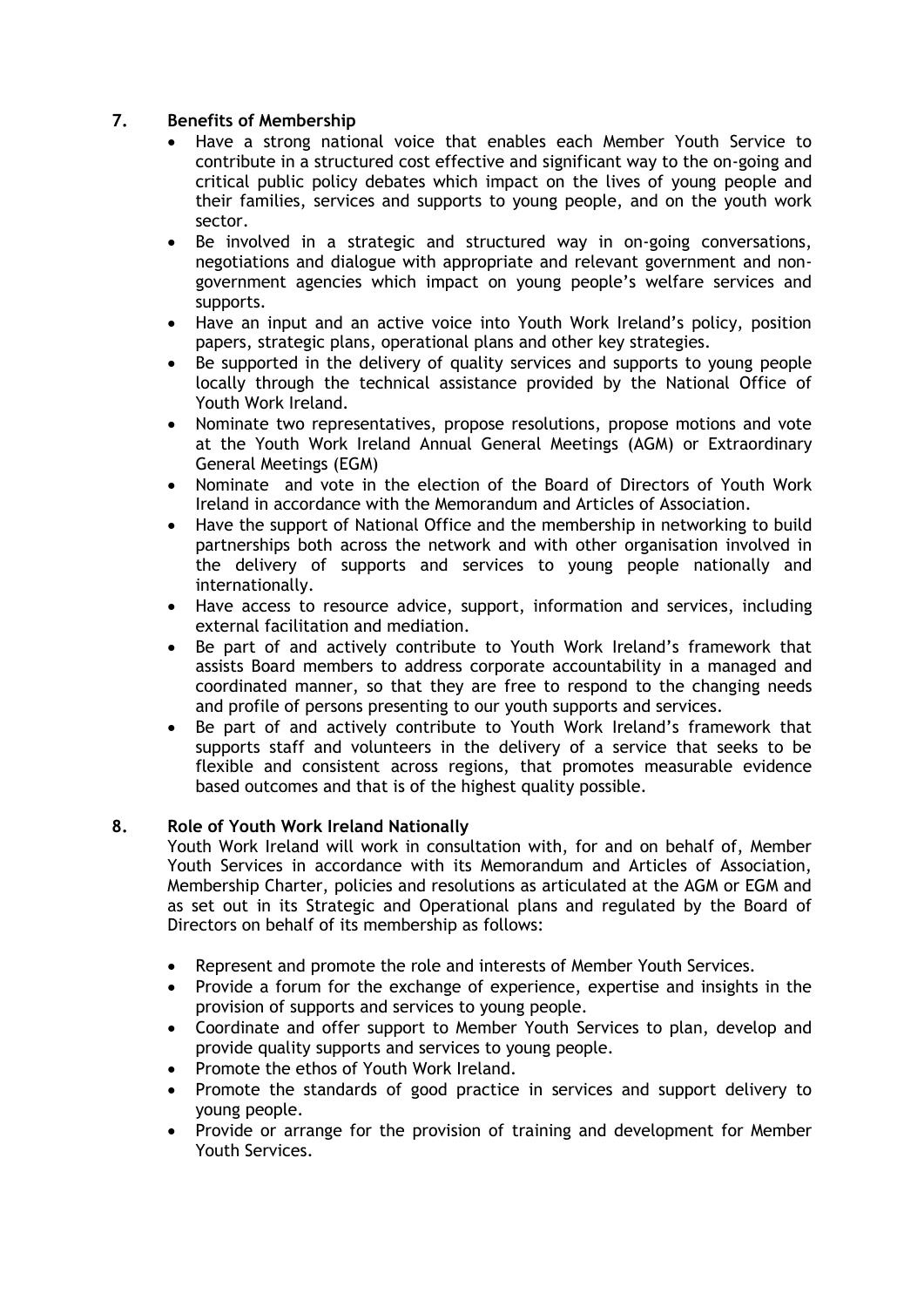# **7. Benefits of Membership**

- Have a strong national voice that enables each Member Youth Service to contribute in a structured cost effective and significant way to the on-going and critical public policy debates which impact on the lives of young people and their families, services and supports to young people, and on the youth work sector.
- Be involved in a strategic and structured way in on-going conversations, negotiations and dialogue with appropriate and relevant government and nongovernment agencies which impact on young people's welfare services and supports.
- Have an input and an active voice into Youth Work Ireland's policy, position papers, strategic plans, operational plans and other key strategies.
- Be supported in the delivery of quality services and supports to young people locally through the technical assistance provided by the National Office of Youth Work Ireland.
- Nominate two representatives, propose resolutions, propose motions and vote at the Youth Work Ireland Annual General Meetings (AGM) or Extraordinary General Meetings (EGM)
- Nominate and vote in the election of the Board of Directors of Youth Work Ireland in accordance with the Memorandum and Articles of Association.
- Have the support of National Office and the membership in networking to build partnerships both across the network and with other organisation involved in the delivery of supports and services to young people nationally and internationally.
- Have access to resource advice, support, information and services, including external facilitation and mediation.
- Be part of and actively contribute to Youth Work Ireland's framework that assists Board members to address corporate accountability in a managed and coordinated manner, so that they are free to respond to the changing needs and profile of persons presenting to our youth supports and services.
- Be part of and actively contribute to Youth Work Ireland's framework that supports staff and volunteers in the delivery of a service that seeks to be flexible and consistent across regions, that promotes measurable evidence based outcomes and that is of the highest quality possible.

## **8. Role of Youth Work Ireland Nationally**

Youth Work Ireland will work in consultation with, for and on behalf of, Member Youth Services in accordance with its Memorandum and Articles of Association, Membership Charter, policies and resolutions as articulated at the AGM or EGM and as set out in its Strategic and Operational plans and regulated by the Board of Directors on behalf of its membership as follows:

- Represent and promote the role and interests of Member Youth Services.
- Provide a forum for the exchange of experience, expertise and insights in the provision of supports and services to young people.
- Coordinate and offer support to Member Youth Services to plan, develop and provide quality supports and services to young people.
- Promote the ethos of Youth Work Ireland.
- Promote the standards of good practice in services and support delivery to young people.
- Provide or arrange for the provision of training and development for Member Youth Services.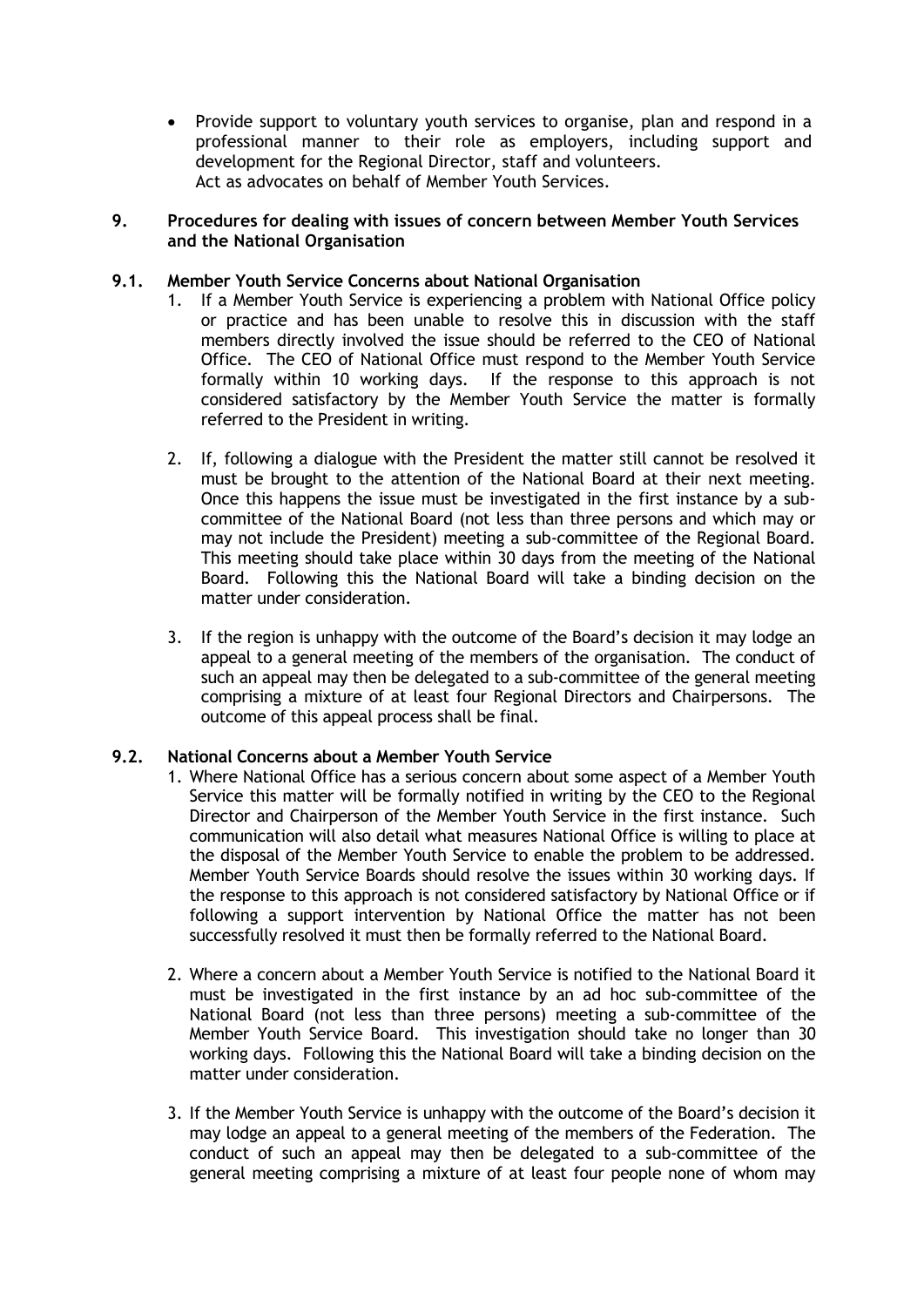Provide support to voluntary youth services to organise, plan and respond in a professional manner to their role as employers, including support and development for the Regional Director, staff and volunteers. Act as advocates on behalf of Member Youth Services.

#### **9. Procedures for dealing with issues of concern between Member Youth Services and the National Organisation**

#### **9.1. Member Youth Service Concerns about National Organisation**

- 1. If a Member Youth Service is experiencing a problem with National Office policy or practice and has been unable to resolve this in discussion with the staff members directly involved the issue should be referred to the CEO of National Office. The CEO of National Office must respond to the Member Youth Service formally within 10 working days. If the response to this approach is not considered satisfactory by the Member Youth Service the matter is formally referred to the President in writing.
- 2. If, following a dialogue with the President the matter still cannot be resolved it must be brought to the attention of the National Board at their next meeting. Once this happens the issue must be investigated in the first instance by a subcommittee of the National Board (not less than three persons and which may or may not include the President) meeting a sub-committee of the Regional Board. This meeting should take place within 30 days from the meeting of the National Board. Following this the National Board will take a binding decision on the matter under consideration.
- 3. If the region is unhappy with the outcome of the Board's decision it may lodge an appeal to a general meeting of the members of the organisation. The conduct of such an appeal may then be delegated to a sub-committee of the general meeting comprising a mixture of at least four Regional Directors and Chairpersons. The outcome of this appeal process shall be final.

# **9.2. National Concerns about a Member Youth Service**

- 1. Where National Office has a serious concern about some aspect of a Member Youth Service this matter will be formally notified in writing by the CEO to the Regional Director and Chairperson of the Member Youth Service in the first instance. Such communication will also detail what measures National Office is willing to place at the disposal of the Member Youth Service to enable the problem to be addressed. Member Youth Service Boards should resolve the issues within 30 working days. If the response to this approach is not considered satisfactory by National Office or if following a support intervention by National Office the matter has not been successfully resolved it must then be formally referred to the National Board.
- 2. Where a concern about a Member Youth Service is notified to the National Board it must be investigated in the first instance by an ad hoc sub-committee of the National Board (not less than three persons) meeting a sub-committee of the Member Youth Service Board. This investigation should take no longer than 30 working days. Following this the National Board will take a binding decision on the matter under consideration.
- 3. If the Member Youth Service is unhappy with the outcome of the Board's decision it may lodge an appeal to a general meeting of the members of the Federation. The conduct of such an appeal may then be delegated to a sub-committee of the general meeting comprising a mixture of at least four people none of whom may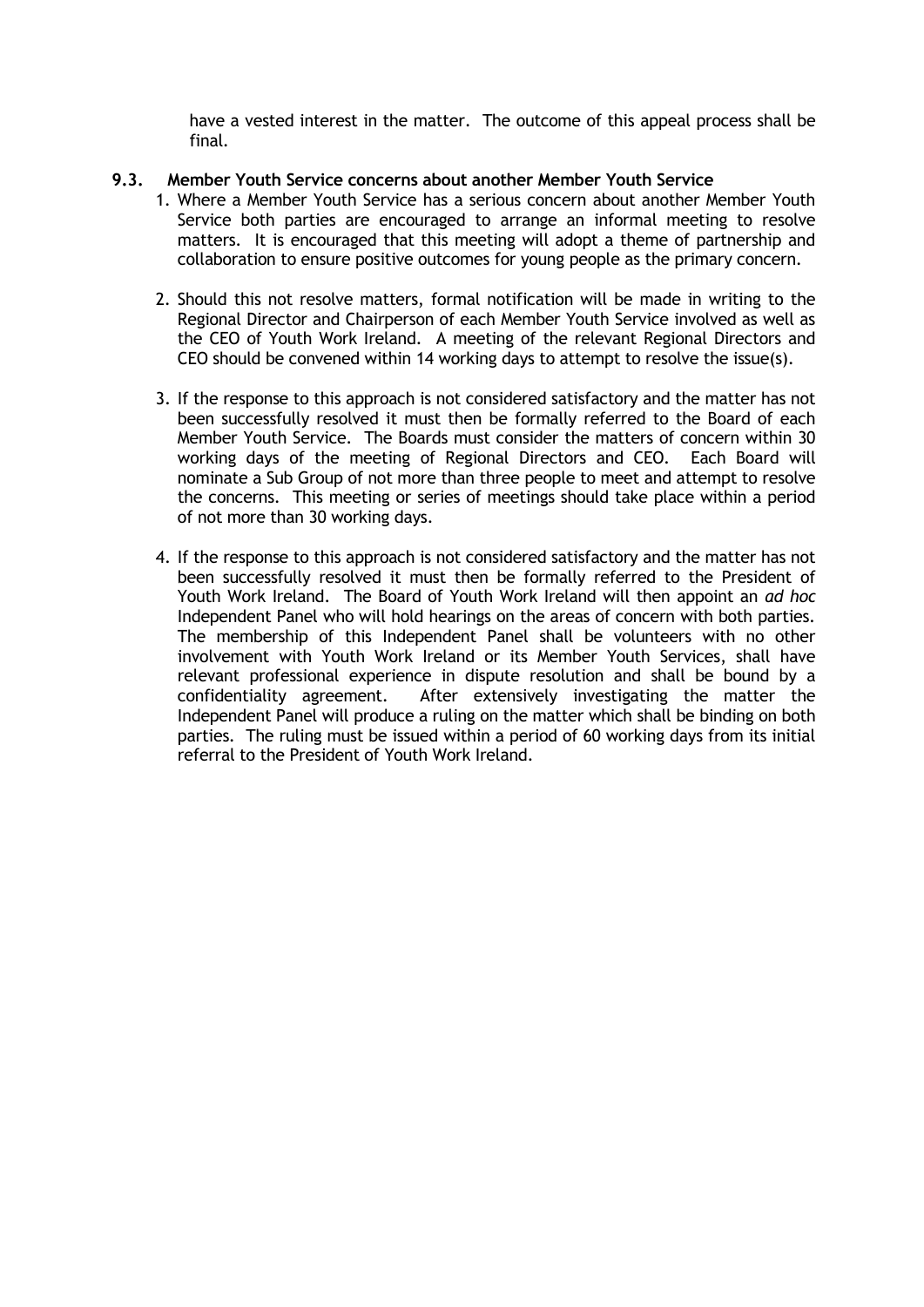have a vested interest in the matter. The outcome of this appeal process shall be final.

#### **9.3. Member Youth Service concerns about another Member Youth Service**

- 1. Where a Member Youth Service has a serious concern about another Member Youth Service both parties are encouraged to arrange an informal meeting to resolve matters. It is encouraged that this meeting will adopt a theme of partnership and collaboration to ensure positive outcomes for young people as the primary concern.
- 2. Should this not resolve matters, formal notification will be made in writing to the Regional Director and Chairperson of each Member Youth Service involved as well as the CEO of Youth Work Ireland. A meeting of the relevant Regional Directors and CEO should be convened within 14 working days to attempt to resolve the issue(s).
- 3. If the response to this approach is not considered satisfactory and the matter has not been successfully resolved it must then be formally referred to the Board of each Member Youth Service. The Boards must consider the matters of concern within 30 working days of the meeting of Regional Directors and CEO. Each Board will nominate a Sub Group of not more than three people to meet and attempt to resolve the concerns. This meeting or series of meetings should take place within a period of not more than 30 working days.
- 4. If the response to this approach is not considered satisfactory and the matter has not been successfully resolved it must then be formally referred to the President of Youth Work Ireland. The Board of Youth Work Ireland will then appoint an *ad hoc* Independent Panel who will hold hearings on the areas of concern with both parties. The membership of this Independent Panel shall be volunteers with no other involvement with Youth Work Ireland or its Member Youth Services, shall have relevant professional experience in dispute resolution and shall be bound by a confidentiality agreement. After extensively investigating the matter the Independent Panel will produce a ruling on the matter which shall be binding on both parties. The ruling must be issued within a period of 60 working days from its initial referral to the President of Youth Work Ireland.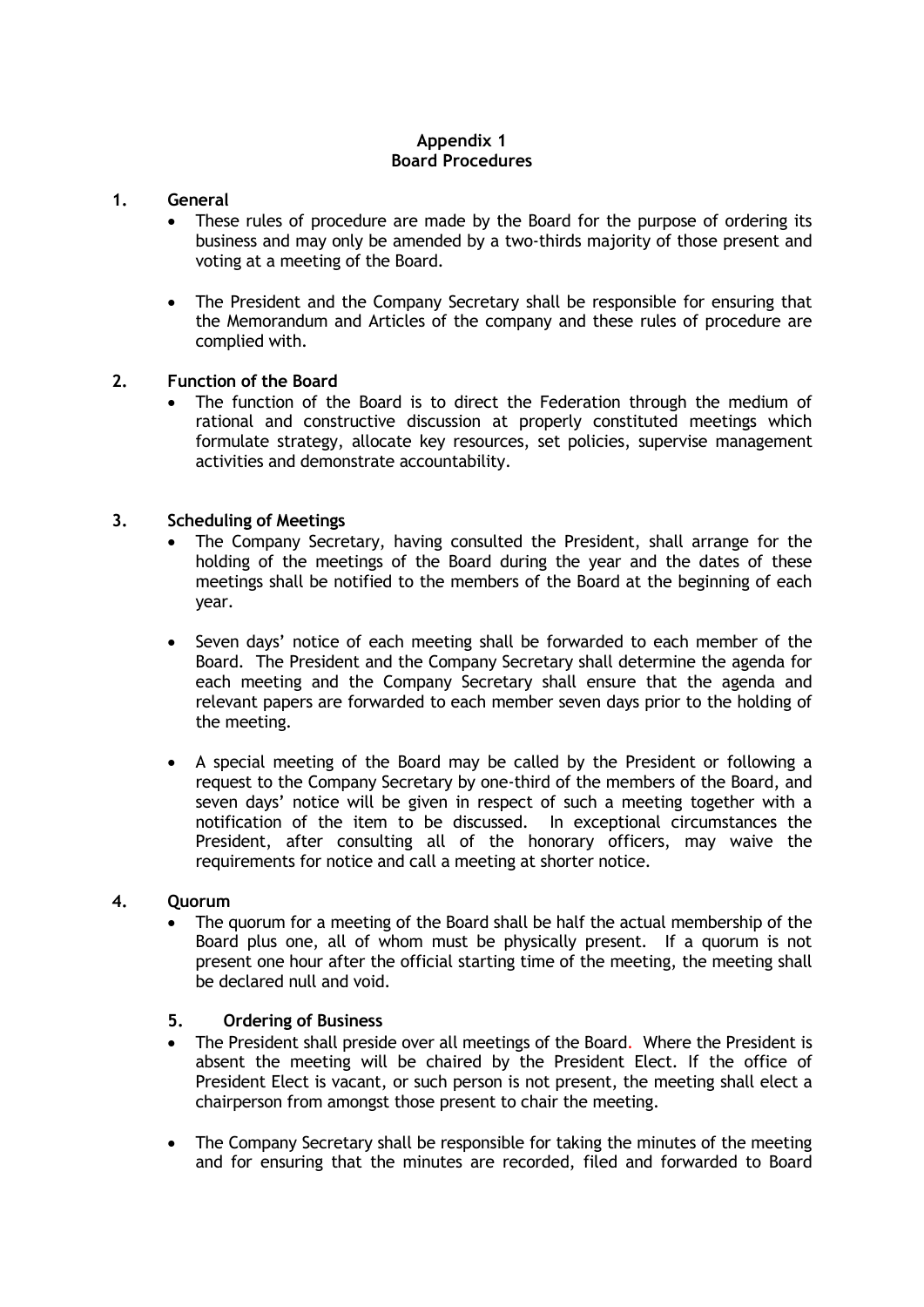# **Appendix 1 Board Procedures**

## **1. General**

- These rules of procedure are made by the Board for the purpose of ordering its business and may only be amended by a two-thirds majority of those present and voting at a meeting of the Board.
- The President and the Company Secretary shall be responsible for ensuring that the Memorandum and Articles of the company and these rules of procedure are complied with.

## **2. Function of the Board**

 The function of the Board is to direct the Federation through the medium of rational and constructive discussion at properly constituted meetings which formulate strategy, allocate key resources, set policies, supervise management activities and demonstrate accountability.

## **3. Scheduling of Meetings**

- The Company Secretary, having consulted the President, shall arrange for the holding of the meetings of the Board during the year and the dates of these meetings shall be notified to the members of the Board at the beginning of each year.
- Seven days' notice of each meeting shall be forwarded to each member of the Board. The President and the Company Secretary shall determine the agenda for each meeting and the Company Secretary shall ensure that the agenda and relevant papers are forwarded to each member seven days prior to the holding of the meeting.
- A special meeting of the Board may be called by the President or following a request to the Company Secretary by one-third of the members of the Board, and seven days' notice will be given in respect of such a meeting together with a notification of the item to be discussed. In exceptional circumstances the President, after consulting all of the honorary officers, may waive the requirements for notice and call a meeting at shorter notice.

#### **4. Quorum**

 The quorum for a meeting of the Board shall be half the actual membership of the Board plus one, all of whom must be physically present. If a quorum is not present one hour after the official starting time of the meeting, the meeting shall be declared null and void.

## **5. Ordering of Business**

- The President shall preside over all meetings of the Board. Where the President is absent the meeting will be chaired by the President Elect. If the office of President Elect is vacant, or such person is not present, the meeting shall elect a chairperson from amongst those present to chair the meeting.
- The Company Secretary shall be responsible for taking the minutes of the meeting and for ensuring that the minutes are recorded, filed and forwarded to Board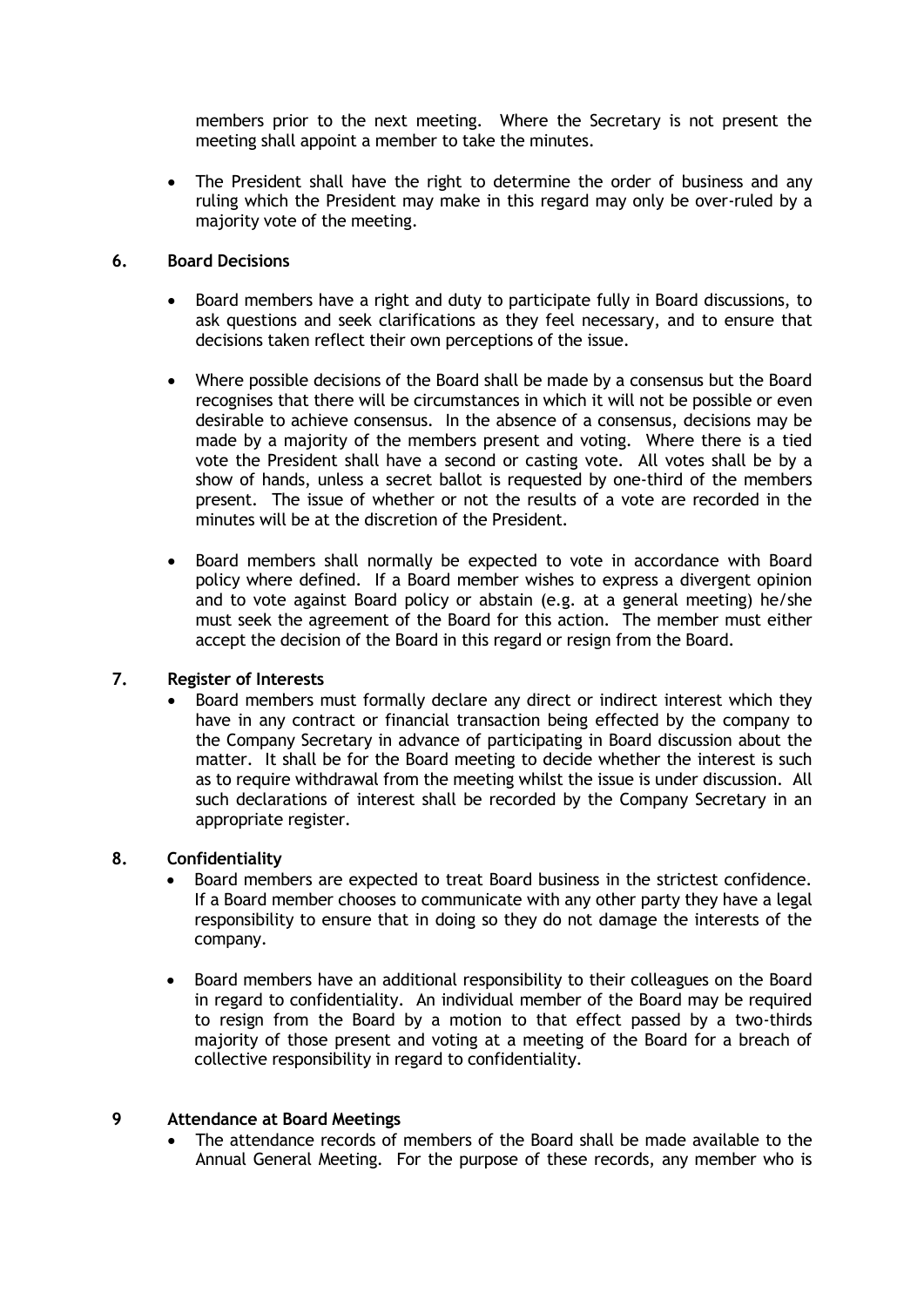members prior to the next meeting. Where the Secretary is not present the meeting shall appoint a member to take the minutes.

• The President shall have the right to determine the order of business and any ruling which the President may make in this regard may only be over-ruled by a majority vote of the meeting.

## **6. Board Decisions**

- Board members have a right and duty to participate fully in Board discussions, to ask questions and seek clarifications as they feel necessary, and to ensure that decisions taken reflect their own perceptions of the issue.
- Where possible decisions of the Board shall be made by a consensus but the Board recognises that there will be circumstances in which it will not be possible or even desirable to achieve consensus. In the absence of a consensus, decisions may be made by a majority of the members present and voting. Where there is a tied vote the President shall have a second or casting vote. All votes shall be by a show of hands, unless a secret ballot is requested by one-third of the members present. The issue of whether or not the results of a vote are recorded in the minutes will be at the discretion of the President.
- Board members shall normally be expected to vote in accordance with Board policy where defined. If a Board member wishes to express a divergent opinion and to vote against Board policy or abstain (e.g. at a general meeting) he/she must seek the agreement of the Board for this action. The member must either accept the decision of the Board in this regard or resign from the Board.

## **7. Register of Interests**

 Board members must formally declare any direct or indirect interest which they have in any contract or financial transaction being effected by the company to the Company Secretary in advance of participating in Board discussion about the matter. It shall be for the Board meeting to decide whether the interest is such as to require withdrawal from the meeting whilst the issue is under discussion. All such declarations of interest shall be recorded by the Company Secretary in an appropriate register.

## **8. Confidentiality**

- Board members are expected to treat Board business in the strictest confidence. If a Board member chooses to communicate with any other party they have a legal responsibility to ensure that in doing so they do not damage the interests of the company.
- Board members have an additional responsibility to their colleagues on the Board in regard to confidentiality. An individual member of the Board may be required to resign from the Board by a motion to that effect passed by a two-thirds majority of those present and voting at a meeting of the Board for a breach of collective responsibility in regard to confidentiality.

## **9 Attendance at Board Meetings**

 The attendance records of members of the Board shall be made available to the Annual General Meeting. For the purpose of these records, any member who is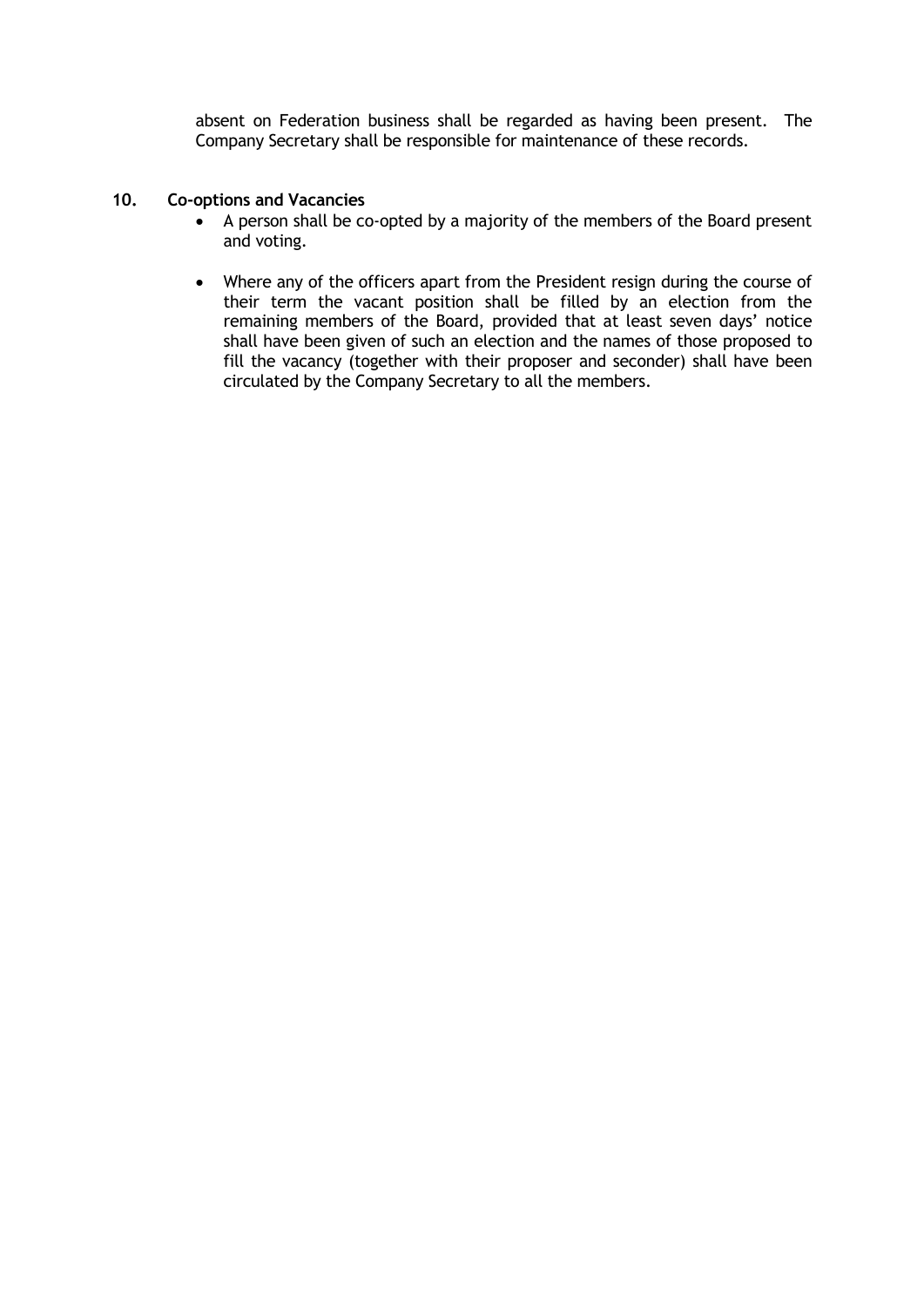absent on Federation business shall be regarded as having been present. The Company Secretary shall be responsible for maintenance of these records.

## **10. Co-options and Vacancies**

- A person shall be co-opted by a majority of the members of the Board present and voting.
- Where any of the officers apart from the President resign during the course of their term the vacant position shall be filled by an election from the remaining members of the Board, provided that at least seven days' notice shall have been given of such an election and the names of those proposed to fill the vacancy (together with their proposer and seconder) shall have been circulated by the Company Secretary to all the members.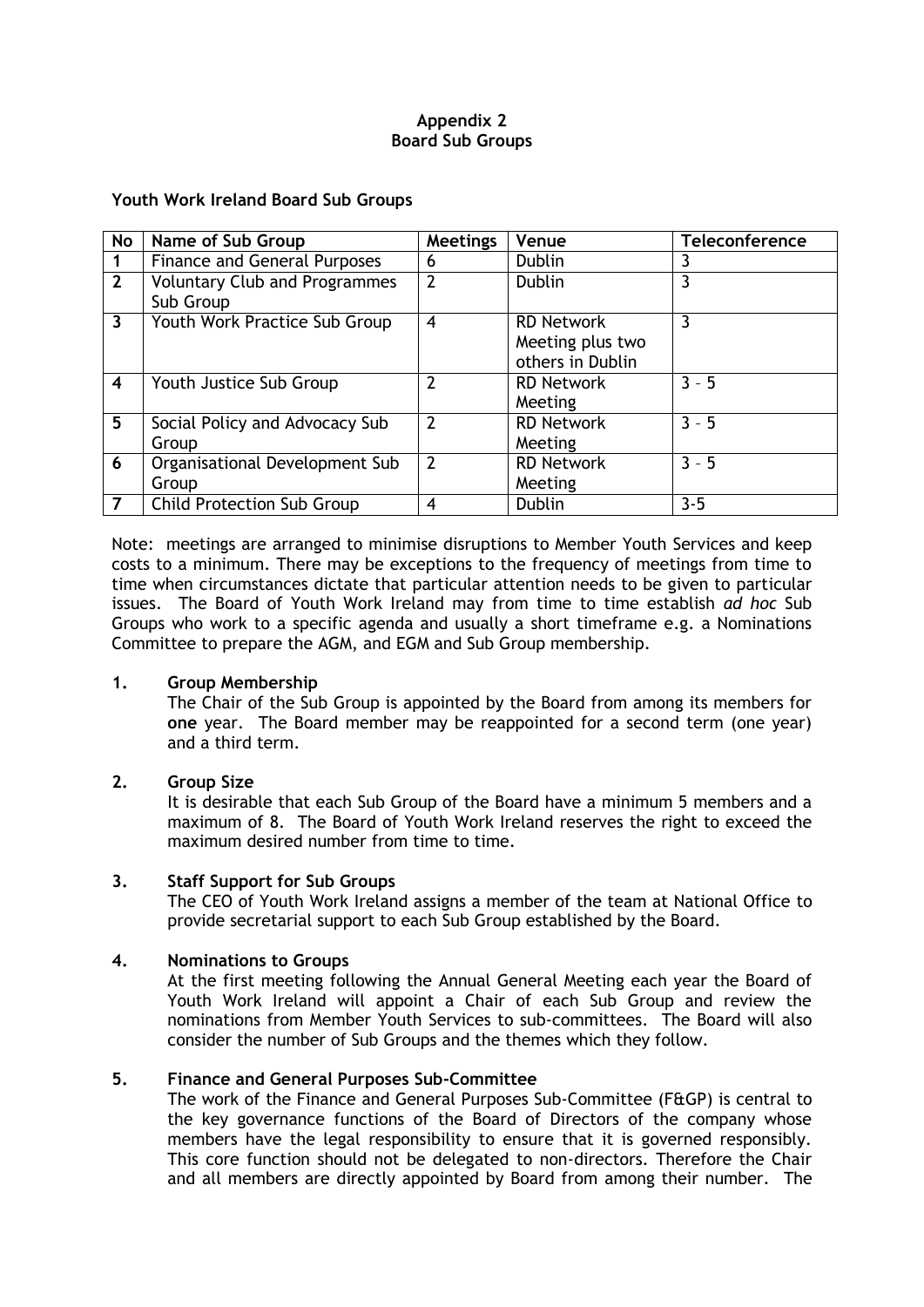# **Appendix 2 Board Sub Groups**

## **Youth Work Ireland Board Sub Groups**

| <b>No</b>               | Name of Sub Group                                 | Meetings       | Venue                                                     | <b>Teleconference</b> |
|-------------------------|---------------------------------------------------|----------------|-----------------------------------------------------------|-----------------------|
| 1                       | <b>Finance and General Purposes</b>               | 6              | <b>Dublin</b>                                             | 3                     |
| $\overline{2}$          | <b>Voluntary Club and Programmes</b><br>Sub Group | 2              | <b>Dublin</b>                                             | 3                     |
| $\overline{3}$          | Youth Work Practice Sub Group                     | $\overline{4}$ | <b>RD Network</b><br>Meeting plus two<br>others in Dublin | 3                     |
| $\overline{\mathbf{4}}$ | Youth Justice Sub Group                           | 7              | <b>RD Network</b><br>Meeting                              | $3 - 5$               |
| 5                       | Social Policy and Advocacy Sub<br>Group           | 2              | <b>RD Network</b><br>Meeting                              | $3 - 5$               |
| 6                       | Organisational Development Sub<br>Group           | $\overline{2}$ | <b>RD Network</b><br>Meeting                              | $3 - 5$               |
| 7                       | <b>Child Protection Sub Group</b>                 | 4              | <b>Dublin</b>                                             | $3 - 5$               |

Note: meetings are arranged to minimise disruptions to Member Youth Services and keep costs to a minimum. There may be exceptions to the frequency of meetings from time to time when circumstances dictate that particular attention needs to be given to particular issues. The Board of Youth Work Ireland may from time to time establish *ad hoc* Sub Groups who work to a specific agenda and usually a short timeframe e.g. a Nominations Committee to prepare the AGM, and EGM and Sub Group membership.

## **1. Group Membership**

The Chair of the Sub Group is appointed by the Board from among its members for **one** year. The Board member may be reappointed for a second term (one year) and a third term.

## **2. Group Size**

It is desirable that each Sub Group of the Board have a minimum 5 members and a maximum of 8. The Board of Youth Work Ireland reserves the right to exceed the maximum desired number from time to time.

## **3. Staff Support for Sub Groups**

The CEO of Youth Work Ireland assigns a member of the team at National Office to provide secretarial support to each Sub Group established by the Board.

# **4. Nominations to Groups**

At the first meeting following the Annual General Meeting each year the Board of Youth Work Ireland will appoint a Chair of each Sub Group and review the nominations from Member Youth Services to sub-committees. The Board will also consider the number of Sub Groups and the themes which they follow.

## **5. Finance and General Purposes Sub-Committee**

The work of the Finance and General Purposes Sub-Committee (F&GP) is central to the key governance functions of the Board of Directors of the company whose members have the legal responsibility to ensure that it is governed responsibly. This core function should not be delegated to non-directors. Therefore the Chair and all members are directly appointed by Board from among their number. The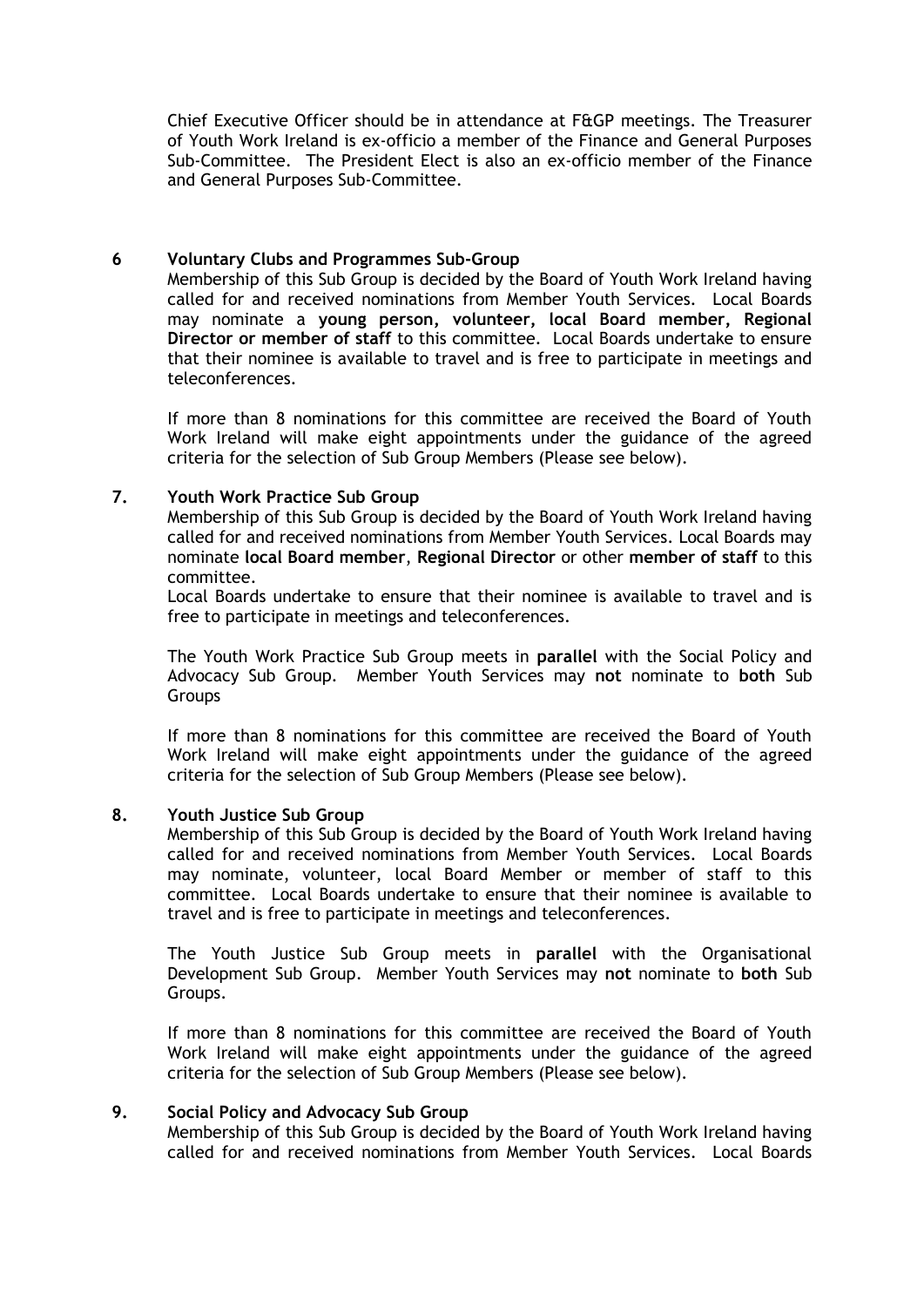Chief Executive Officer should be in attendance at F&GP meetings. The Treasurer of Youth Work Ireland is ex-officio a member of the Finance and General Purposes Sub-Committee. The President Elect is also an ex-officio member of the Finance and General Purposes Sub-Committee.

#### **6 Voluntary Clubs and Programmes Sub-Group**

Membership of this Sub Group is decided by the Board of Youth Work Ireland having called for and received nominations from Member Youth Services. Local Boards may nominate a **young person, volunteer, local Board member, Regional Director or member of staff** to this committee. Local Boards undertake to ensure that their nominee is available to travel and is free to participate in meetings and teleconferences.

If more than 8 nominations for this committee are received the Board of Youth Work Ireland will make eight appointments under the guidance of the agreed criteria for the selection of Sub Group Members (Please see below).

## **7. Youth Work Practice Sub Group**

Membership of this Sub Group is decided by the Board of Youth Work Ireland having called for and received nominations from Member Youth Services. Local Boards may nominate **local Board member**, **Regional Director** or other **member of staff** to this committee.

Local Boards undertake to ensure that their nominee is available to travel and is free to participate in meetings and teleconferences.

The Youth Work Practice Sub Group meets in **parallel** with the Social Policy and Advocacy Sub Group. Member Youth Services may **not** nominate to **both** Sub Groups

If more than 8 nominations for this committee are received the Board of Youth Work Ireland will make eight appointments under the guidance of the agreed criteria for the selection of Sub Group Members (Please see below).

#### **8. Youth Justice Sub Group**

Membership of this Sub Group is decided by the Board of Youth Work Ireland having called for and received nominations from Member Youth Services. Local Boards may nominate, volunteer, local Board Member or member of staff to this committee. Local Boards undertake to ensure that their nominee is available to travel and is free to participate in meetings and teleconferences.

The Youth Justice Sub Group meets in **parallel** with the Organisational Development Sub Group. Member Youth Services may **not** nominate to **both** Sub Groups.

If more than 8 nominations for this committee are received the Board of Youth Work Ireland will make eight appointments under the guidance of the agreed criteria for the selection of Sub Group Members (Please see below).

#### **9. Social Policy and Advocacy Sub Group**

Membership of this Sub Group is decided by the Board of Youth Work Ireland having called for and received nominations from Member Youth Services. Local Boards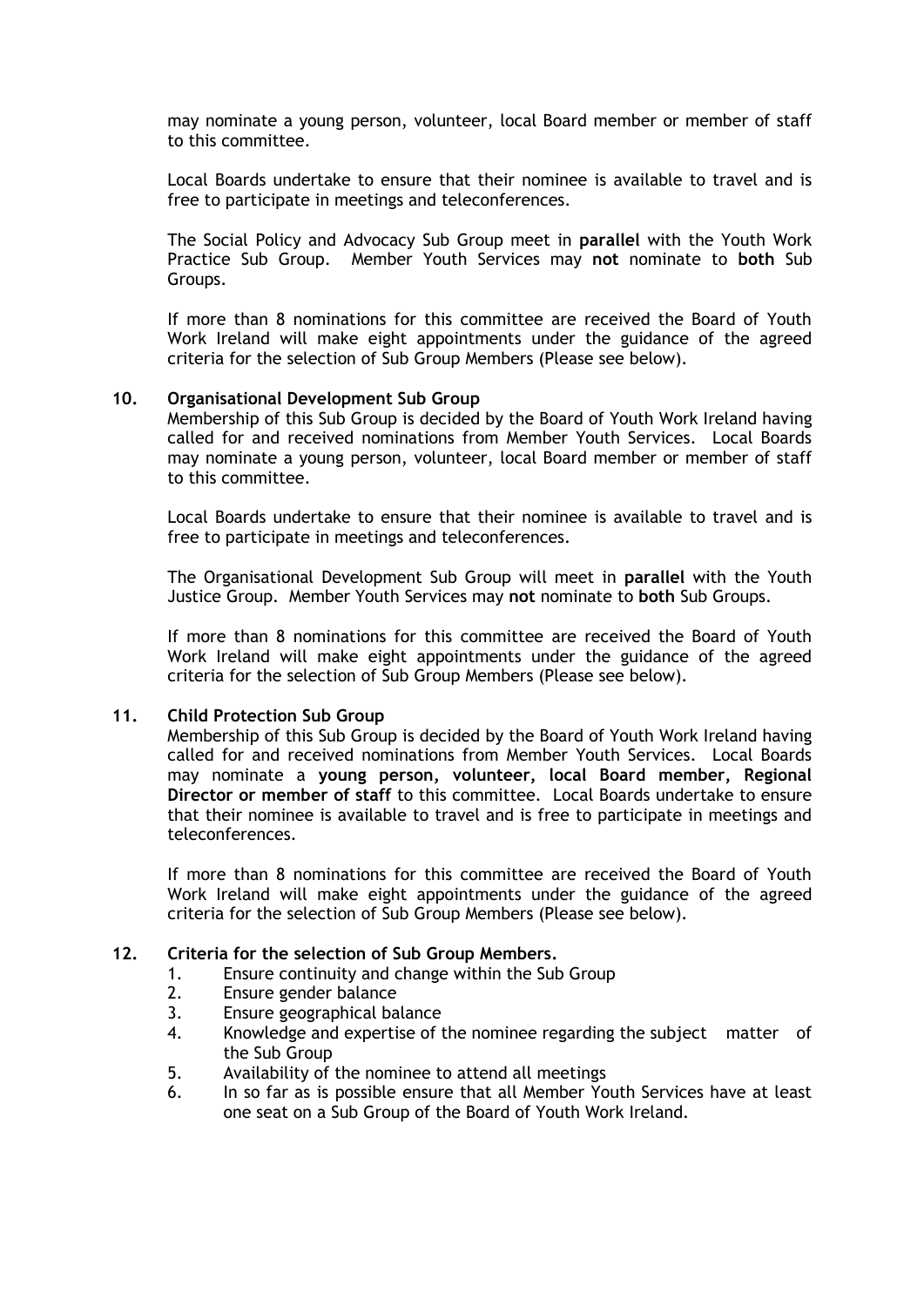may nominate a young person, volunteer, local Board member or member of staff to this committee.

Local Boards undertake to ensure that their nominee is available to travel and is free to participate in meetings and teleconferences.

The Social Policy and Advocacy Sub Group meet in **parallel** with the Youth Work Practice Sub Group. Member Youth Services may **not** nominate to **both** Sub Groups.

If more than 8 nominations for this committee are received the Board of Youth Work Ireland will make eight appointments under the guidance of the agreed criteria for the selection of Sub Group Members (Please see below).

#### **10. Organisational Development Sub Group**

Membership of this Sub Group is decided by the Board of Youth Work Ireland having called for and received nominations from Member Youth Services. Local Boards may nominate a young person, volunteer, local Board member or member of staff to this committee.

Local Boards undertake to ensure that their nominee is available to travel and is free to participate in meetings and teleconferences.

The Organisational Development Sub Group will meet in **parallel** with the Youth Justice Group. Member Youth Services may **not** nominate to **both** Sub Groups.

If more than 8 nominations for this committee are received the Board of Youth Work Ireland will make eight appointments under the guidance of the agreed criteria for the selection of Sub Group Members (Please see below).

#### **11. Child Protection Sub Group**

Membership of this Sub Group is decided by the Board of Youth Work Ireland having called for and received nominations from Member Youth Services. Local Boards may nominate a **young person, volunteer, local Board member, Regional Director or member of staff** to this committee. Local Boards undertake to ensure that their nominee is available to travel and is free to participate in meetings and teleconferences.

If more than 8 nominations for this committee are received the Board of Youth Work Ireland will make eight appointments under the guidance of the agreed criteria for the selection of Sub Group Members (Please see below).

#### **12. Criteria for the selection of Sub Group Members.**

- 1. Ensure continuity and change within the Sub Group
- 2. Ensure gender balance
- 3. Ensure geographical balance
- 4. Knowledge and expertise of the nominee regarding the subject matter of the Sub Group
- 5. Availability of the nominee to attend all meetings
- 6. In so far as is possible ensure that all Member Youth Services have at least one seat on a Sub Group of the Board of Youth Work Ireland.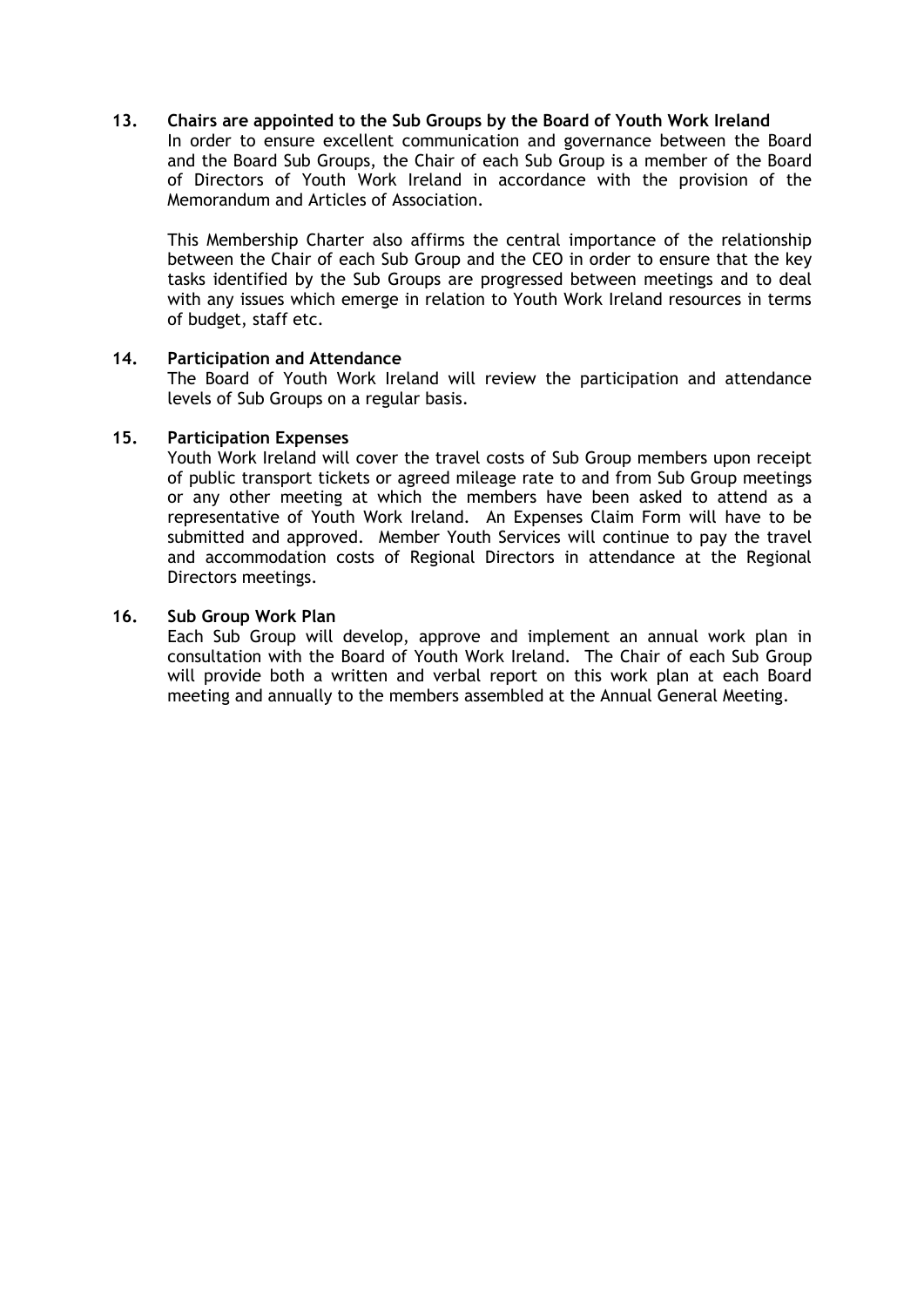## **13. Chairs are appointed to the Sub Groups by the Board of Youth Work Ireland**

In order to ensure excellent communication and governance between the Board and the Board Sub Groups, the Chair of each Sub Group is a member of the Board of Directors of Youth Work Ireland in accordance with the provision of the Memorandum and Articles of Association.

This Membership Charter also affirms the central importance of the relationship between the Chair of each Sub Group and the CEO in order to ensure that the key tasks identified by the Sub Groups are progressed between meetings and to deal with any issues which emerge in relation to Youth Work Ireland resources in terms of budget, staff etc.

#### **14. Participation and Attendance**

The Board of Youth Work Ireland will review the participation and attendance levels of Sub Groups on a regular basis.

#### **15. Participation Expenses**

Youth Work Ireland will cover the travel costs of Sub Group members upon receipt of public transport tickets or agreed mileage rate to and from Sub Group meetings or any other meeting at which the members have been asked to attend as a representative of Youth Work Ireland. An Expenses Claim Form will have to be submitted and approved. Member Youth Services will continue to pay the travel and accommodation costs of Regional Directors in attendance at the Regional Directors meetings.

#### **16. Sub Group Work Plan**

Each Sub Group will develop, approve and implement an annual work plan in consultation with the Board of Youth Work Ireland. The Chair of each Sub Group will provide both a written and verbal report on this work plan at each Board meeting and annually to the members assembled at the Annual General Meeting.